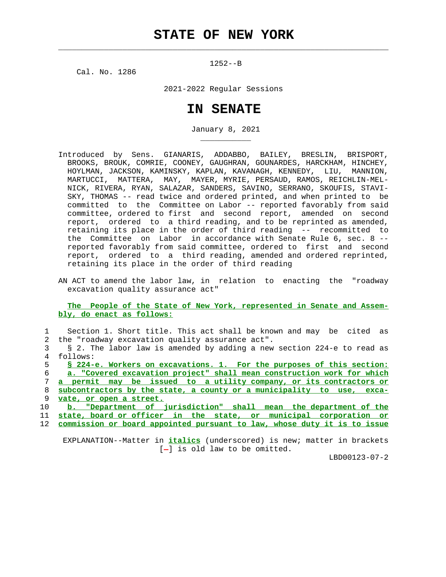$\mathcal{L}_\text{max} = \frac{1}{2} \sum_{i=1}^{n} \frac{1}{2} \sum_{i=1}^{n} \frac{1}{2} \sum_{i=1}^{n} \frac{1}{2} \sum_{i=1}^{n} \frac{1}{2} \sum_{i=1}^{n} \frac{1}{2} \sum_{i=1}^{n} \frac{1}{2} \sum_{i=1}^{n} \frac{1}{2} \sum_{i=1}^{n} \frac{1}{2} \sum_{i=1}^{n} \frac{1}{2} \sum_{i=1}^{n} \frac{1}{2} \sum_{i=1}^{n} \frac{1}{2} \sum_{i=1}^{n} \frac{1$ 

1252--B

Cal. No. 1286

\_\_\_\_\_\_\_\_\_\_\_

2021-2022 Regular Sessions

## **IN SENATE**

January 8, 2021

- Introduced by Sens. GIANARIS, ADDABBO, BAILEY, BRESLIN, BRISPORT, BROOKS, BROUK, COMRIE, COONEY, GAUGHRAN, GOUNARDES, HARCKHAM, HINCHEY, HOYLMAN, JACKSON, KAMINSKY, KAPLAN, KAVANAGH, KENNEDY, LIU, MANNION, MARTUCCI, MATTERA, MAY, MAYER, MYRIE, PERSAUD, RAMOS, REICHLIN-MEL- NICK, RIVERA, RYAN, SALAZAR, SANDERS, SAVINO, SERRANO, SKOUFIS, STAVI- SKY, THOMAS -- read twice and ordered printed, and when printed to be committed to the Committee on Labor -- reported favorably from said committee, ordered to first and second report, amended on second report, ordered to a third reading, and to be reprinted as amended, retaining its place in the order of third reading -- recommitted to the Committee on Labor in accordance with Senate Rule 6, sec. 8 - reported favorably from said committee, ordered to first and second report, ordered to a third reading, amended and ordered reprinted, retaining its place in the order of third reading
- AN ACT to amend the labor law, in relation to enacting the "roadway excavation quality assurance act"

 **The People of the State of New York, represented in Senate and Assem bly, do enact as follows:**

 1 Section 1. Short title. This act shall be known and may be cited as 2 the "roadway excavation quality assurance act". 3 § 2. The labor law is amended by adding a new section 224-e to read as 4 follows: 5 **§ 224-e. Workers on excavations. 1. For the purposes of this section:**

**a. "Covered excavation project" shall mean construction work for which a permit may be issued to a utility company, or its contractors or subcontractors by the state, a county or a municipality to use, exca- vate, or open a street. b. "Department of jurisdiction" shall mean the department of the**

 11 **state, board or officer in the state, or municipal corporation or** 12 **commission or board appointed pursuant to law, whose duty it is to issue**

 EXPLANATION--Matter in **italics** (underscored) is new; matter in brackets  $[-]$  is old law to be omitted.

LBD00123-07-2